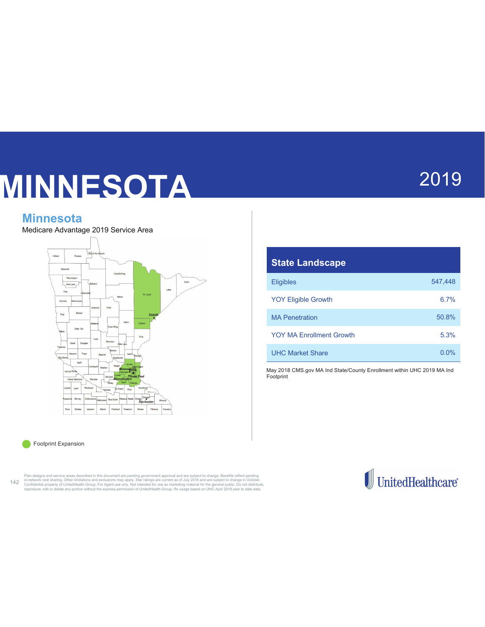# MINNESOTA

# 2019

## **Minnesota**

Medicare Advantage 2019 Service Area



| <b>State Landscape</b>          |         |
|---------------------------------|---------|
| <b>Eligibles</b>                | 547.448 |
| <b>YOY Eligible Growth</b>      | 6.7%    |
| <b>MA Penetration</b>           | 50.8%   |
| <b>YOY MA Forollment Growth</b> | 5.3%    |
| <b>UHC Market Share</b>         | $0.0\%$ |

May 2018 CMS.gov MA Ind State/County Enrollment within UHC 2019 MA Ind Footprint

Footprint Expansion ۵ n

Plan designs and service areas described in this document are pending government approval and are subject to change. Benefits reflect pending (and the subject of change) in-hetwork cost sharing. Other limitations and excul

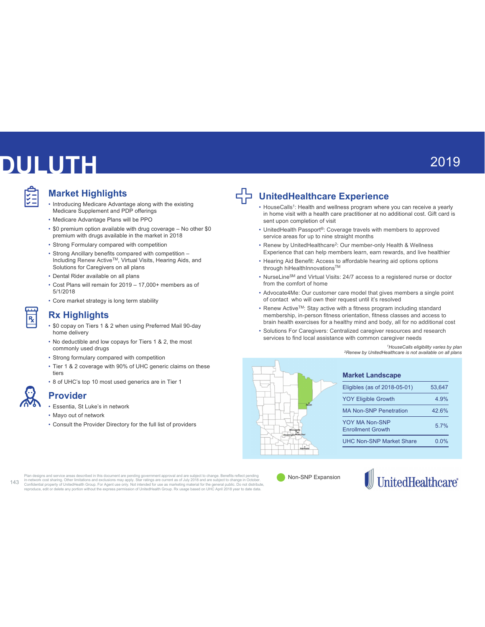# **DULUTH**

### **Market Highlights**

- Introducing Medicare Advantage along with the existing Medicare Supplement and PDP offerings
- Medicare Advantage Plans will be PPO
- $\bullet$  \$0 premium option available with drug coverage  $-$  No other \$0 premium with drugs available in the market in 2018
- Strong Formulary compared with competition
- Strong Ancillary benefits compared with competition -Including Renew Active™, Virtual Visits, Hearing Aids, and Solutions for Caregivers on all plans
- Dental Rider available on all plans
- Cost Plans will remain for 2019 17,000+ members as of  $5/1/2018$
- Core market strategy is long term stability

### **Rx Highlights**

- \$0 copay on Tiers 1 & 2 when using Preferred Mail 90-day home delivery
- No deductible and low copays for Tiers 1 & 2, the most commonly used drugs
- Strong formulary compared with competition
- Tier 1 & 2 coverage with 90% of UHC generic claims on these tiers
- 8 of UHC's top 10 most used generics are in Tier 1

• Essentia, St Luke's in network • Mayo out of network

**Provider** 

• Consult the Provider Directory for the full list of providers



# **UnitedHealthcare Experience**

- HouseCalls<sup>1</sup>: Health and wellness program where you can receive a yearly in home visit with a health care practitioner at no additional cost. Gift card is sent upon completion of visit
- UnitedHealth Passport®: Coverage travels with members to approved service areas for up to nine straight months
- Renew by UnitedHealthcare<sup>2</sup>: Our member-only Health & Wellness Experience that can help members learn, earn rewards, and live healthier
- Hearing Aid Benefit: Access to affordable hearing aid options options through hiHealthInnovations™
- NurseLine<sup>SM</sup> and Virtual Visits: 24/7 access to a registered nurse or doctor from the comfort of home
- Advocate4Me: Our customer care model that gives members a single point of contact who will own their request until it's resolved
- $\bullet$  Renew Active<sup>TM</sup>: Stay active with a fitness program including standard membership, in-person fitness orientation, fitness classes and access to brain health exercises for a healthy mind and body, all for no additional cost
- Solutions For Caregivers: Centralized caregiver resources and research services to find local assistance with common caregiver needs

<sup>1</sup>HouseCalls eligibility varies by plan <sup>2</sup>Renew by UnitedHealthcare is not available on all plans



## **Market Landscape**

| Eligibles (as of 2018-05-01)               | 53.647 |
|--------------------------------------------|--------|
| <b>YOY Eligible Growth</b>                 | 4 9%   |
| <b>MA Non-SNP Penetration</b>              | 426%   |
| YOY MA Non-SNP<br><b>Enrollment Growth</b> | 5.7%   |
| <b>UHC Non-SNP Market Share</b>            | 0 በ%   |
|                                            |        |

Plan designs and service areas described in this document are pending government approval and are subject to change. Benefits reflect pending<br>in-network cost sharing. Other limitations and exclusions may apply. Star rating  $143$ 

Non-SNP Expansion

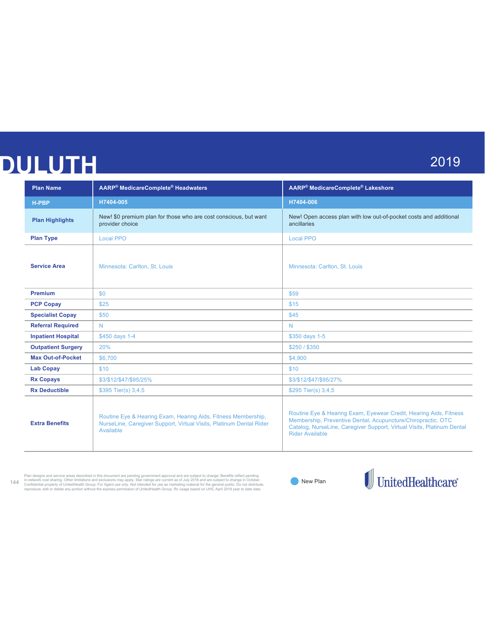# **DULUTH**

# 2019

| <b>Plan Name</b>          | AARP® MedicareComplete® Headwaters                                                                                                                | AARP® MedicareComplete® Lakeshore                                                                                                                                                                                                     |
|---------------------------|---------------------------------------------------------------------------------------------------------------------------------------------------|---------------------------------------------------------------------------------------------------------------------------------------------------------------------------------------------------------------------------------------|
| <b>H-PBP</b>              | H7404-005                                                                                                                                         | H7404-006                                                                                                                                                                                                                             |
| <b>Plan Highlights</b>    | New! \$0 premium plan for those who are cost conscious, but want<br>provider choice                                                               | New! Open access plan with low out-of-pocket costs and additional<br>ancillaries                                                                                                                                                      |
| <b>Plan Type</b>          | <b>Local PPO</b>                                                                                                                                  | <b>Local PPO</b>                                                                                                                                                                                                                      |
| <b>Service Area</b>       | Minnesota: Carlton, St. Louis                                                                                                                     | Minnesota: Carlton, St. Louis                                                                                                                                                                                                         |
| <b>Premium</b>            | \$0                                                                                                                                               | \$59                                                                                                                                                                                                                                  |
| <b>PCP Copay</b>          | \$25                                                                                                                                              | \$15                                                                                                                                                                                                                                  |
| <b>Specialist Copay</b>   | \$50                                                                                                                                              | \$45                                                                                                                                                                                                                                  |
| <b>Referral Required</b>  | N                                                                                                                                                 | N                                                                                                                                                                                                                                     |
| <b>Inpatient Hospital</b> | \$450 days 1-4                                                                                                                                    | \$350 days 1-5                                                                                                                                                                                                                        |
| <b>Outpatient Surgery</b> | 20%                                                                                                                                               | \$250 / \$350                                                                                                                                                                                                                         |
| <b>Max Out-of-Pocket</b>  | \$6,700                                                                                                                                           | \$4,900                                                                                                                                                                                                                               |
| <b>Lab Copay</b>          | \$10                                                                                                                                              | \$10                                                                                                                                                                                                                                  |
| <b>Rx Copays</b>          | \$3/\$12/\$47/\$95/25%                                                                                                                            | \$3/\$12/\$47/\$95/27%                                                                                                                                                                                                                |
| <b>Rx Deductible</b>      | \$395 Tier(s) 3,4,5                                                                                                                               | \$295 Tier(s) 3,4,5                                                                                                                                                                                                                   |
| <b>Extra Benefits</b>     | Routine Eye & Hearing Exam, Hearing Aids, Fitness Membership,<br>NurseLine, Caregiver Support, Virtual Visits, Platinum Dental Rider<br>Available | Routine Eye & Hearing Exam, Eyewear Credit, Hearing Aids, Fitness<br>Membership, Preventive Dental, Acupuncture/Chiropractic, OTC<br>Catalog, NurseLine, Caregiver Support, Virtual Visits, Platinum Dental<br><b>Rider Available</b> |

Plan designs and service areas described in this document are pending government approval and are subject to change. Benefits reflect pending<br>The person confidential property of United Health Schools and School Compare and

 $\blacksquare$  New Plan

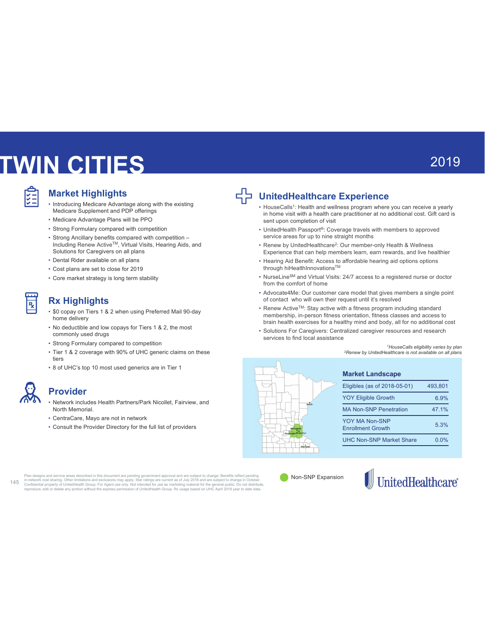# **TWIN CITIES**

### **Market Highlights**

- Introducing Medicare Advantage along with the existing Medicare Supplement and PDP offerings
- Medicare Advantage Plans will be PPO
- Strong Formulary compared with competition
- Strong Ancillary benefits compared with competition -Including Renew Active™, Virtual Visits, Hearing Aids, and Solutions for Caregivers on all plans
- Dental Rider available on all plans
- Cost plans are set to close for 2019
- Core market strategy is long term stability

### **Rx Highlights**

- $\cdot$  \$0 copay on Tiers 1 & 2 when using Preferred Mail 90-day home delivery
- No deductible and low copays for Tiers 1 & 2, the most commonly used drugs
- Strong Formulary compared to competition
- Tier 1 & 2 coverage with 90% of UHC generic claims on these tiers
- $\cdot$  8 of UHC's top 10 most used generics are in Tier 1

 $\overline{R}$ 

### **Provider**

- Network includes Health Partners/Park Nicollet, Fairview, and North Memorial.
- CentraCare, Mayo are not in network
- Consult the Provider Directory for the full list of providers



### **UnitedHealthcare Experience**

- HouseCalls<sup>1</sup>: Health and wellness program where you can receive a yearly in home visit with a health care practitioner at no additional cost. Gift card is sent upon completion of visit
- UnitedHealth Passport®: Coverage travels with members to approved service areas for up to nine straight months
- Renew by UnitedHealthcare<sup>2</sup>: Our member-only Health & Wellness Experience that can help members learn, earn rewards, and live healthier
- Hearing Aid Benefit: Access to affordable hearing aid options options through hiHealthInnovations™
- NurseLineSM and Virtual Visits:  $24/7$  access to a registered nurse or doctor from the comfort of home
- Advocate4Me: Our customer care model that gives members a single point of contact who will own their request until it's resolved
- $\bullet$  Renew Active<sup>TM</sup>: Stay active with a fitness program including standard membership, in-person fitness orientation, fitness classes and access to brain health exercises for a healthy mind and body, all for no additional cost
- Solutions For Caregivers: Centralized caregiver resources and research services to find local assistance

*<sup>1</sup>HouseCalls eligibility varies by plan* <sup>2</sup>Renew by UnitedHealthcare is not available on all plans



| <b>Market Landscape</b>                    |         |
|--------------------------------------------|---------|
| Eligibles (as of 2018-05-01)               | 493.801 |
| <b>YOY Eligible Growth</b>                 | 6.9%    |
| <b>MA Non-SNP Penetration</b>              | 47.1%   |
| YOY MA Non-SNP<br><b>Enrollment Growth</b> | 5.3%    |
| UHC Non-SNP Market Share                   | 0.0%    |

Plan designs and service areas described in this document are pending government approval and are subject to change. Benefits reflect pending<br>in-network cost sharing. Other limitations and exclusions may apply. Star rating  $145$ 

Non-SNP Expansion